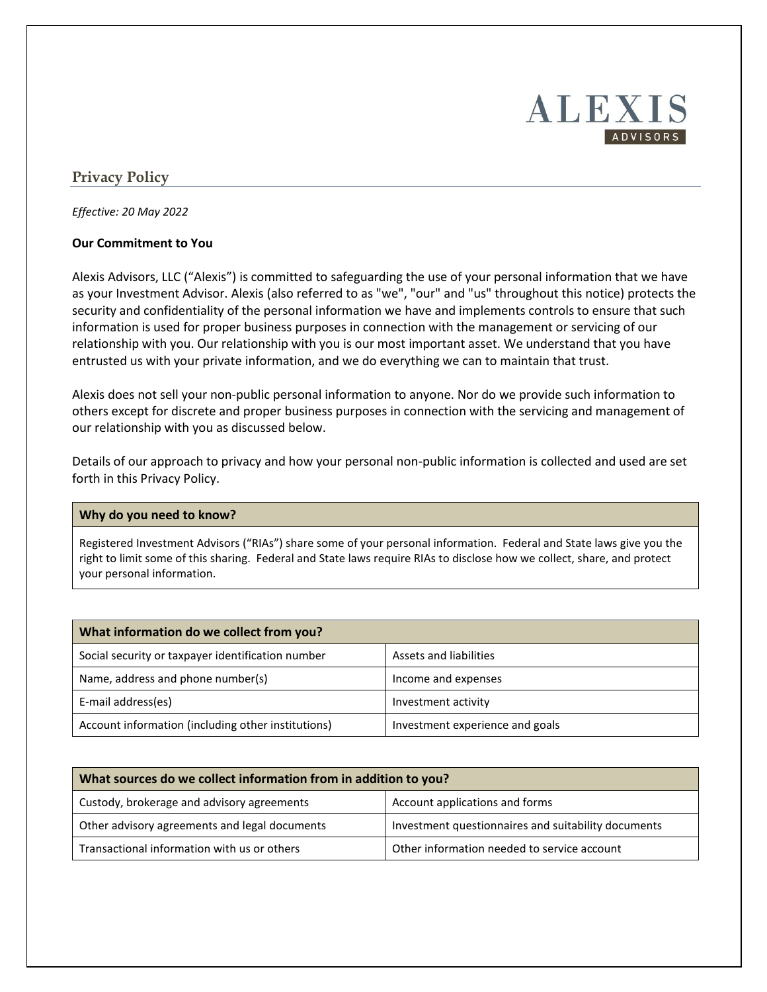# **ALEXIS** ADVISORS

## **Privacy Policy**

*Effective: 20 May 2022*

### **Our Commitment to You**

Alexis Advisors, LLC ("Alexis") is committed to safeguarding the use of your personal information that we have as your Investment Advisor. Alexis (also referred to as "we", "our" and "us" throughout this notice) protects the security and confidentiality of the personal information we have and implements controls to ensure that such information is used for proper business purposes in connection with the management or servicing of our relationship with you. Our relationship with you is our most important asset. We understand that you have entrusted us with your private information, and we do everything we can to maintain that trust.

Alexis does not sell your non-public personal information to anyone. Nor do we provide such information to others except for discrete and proper business purposes in connection with the servicing and management of our relationship with you as discussed below.

Details of our approach to privacy and how your personal non-public information is collected and used are set forth in this Privacy Policy.

#### **Why do you need to know?**

Registered Investment Advisors ("RIAs") share some of your personal information. Federal and State laws give you the right to limit some of this sharing. Federal and State laws require RIAs to disclose how we collect, share, and protect your personal information.

| What information do we collect from you?           |                                 |  |
|----------------------------------------------------|---------------------------------|--|
| Social security or taxpayer identification number  | Assets and liabilities          |  |
| Name, address and phone number(s)                  | Income and expenses             |  |
| E-mail address(es)                                 | Investment activity             |  |
| Account information (including other institutions) | Investment experience and goals |  |

| What sources do we collect information from in addition to you? |                                                     |  |
|-----------------------------------------------------------------|-----------------------------------------------------|--|
| Custody, brokerage and advisory agreements                      | Account applications and forms                      |  |
| Other advisory agreements and legal documents                   | Investment questionnaires and suitability documents |  |
| Transactional information with us or others                     | Other information needed to service account         |  |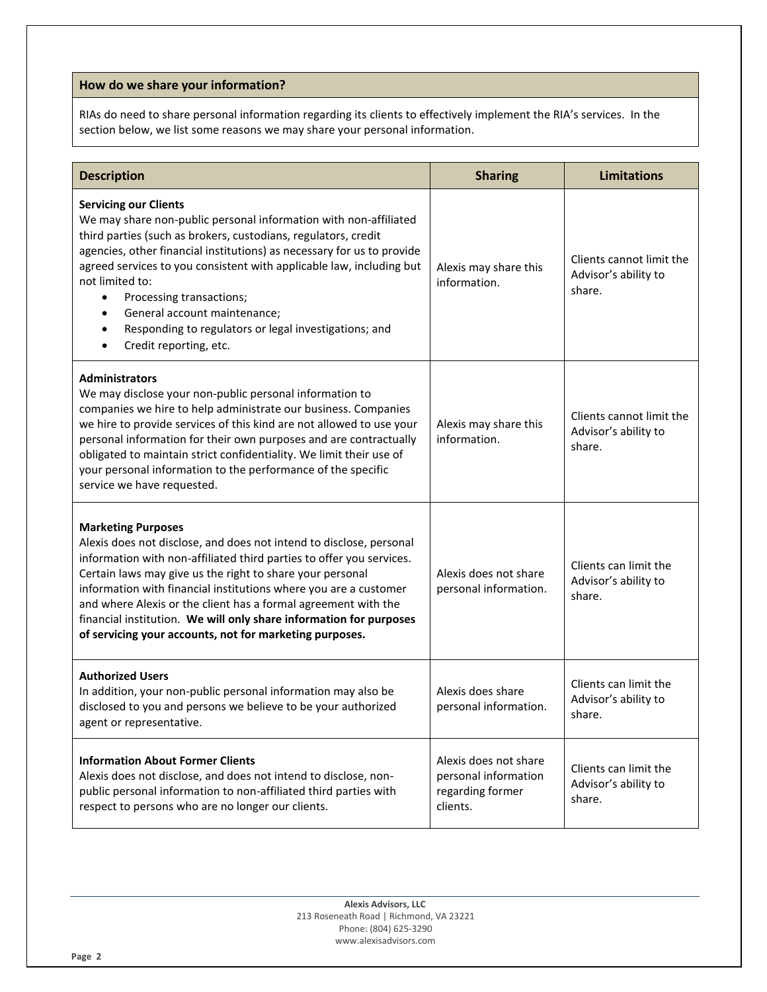## **How do we share your information?**

RIAs do need to share personal information regarding its clients to effectively implement the RIA's services. In the section below, we list some reasons we may share your personal information.

| <b>Description</b>                                                                                                                                                                                                                                                                                                                                                                                                                                                                                            | <b>Sharing</b>                                                                | <b>Limitations</b>                                         |
|---------------------------------------------------------------------------------------------------------------------------------------------------------------------------------------------------------------------------------------------------------------------------------------------------------------------------------------------------------------------------------------------------------------------------------------------------------------------------------------------------------------|-------------------------------------------------------------------------------|------------------------------------------------------------|
| <b>Servicing our Clients</b><br>We may share non-public personal information with non-affiliated<br>third parties (such as brokers, custodians, regulators, credit<br>agencies, other financial institutions) as necessary for us to provide<br>agreed services to you consistent with applicable law, including but<br>not limited to:<br>Processing transactions;<br>٠<br>General account maintenance;<br>$\bullet$<br>Responding to regulators or legal investigations; and<br>Credit reporting, etc.<br>٠ | Alexis may share this<br>information.                                         | Clients cannot limit the<br>Advisor's ability to<br>share. |
| <b>Administrators</b><br>We may disclose your non-public personal information to<br>companies we hire to help administrate our business. Companies<br>we hire to provide services of this kind are not allowed to use your<br>personal information for their own purposes and are contractually<br>obligated to maintain strict confidentiality. We limit their use of<br>your personal information to the performance of the specific<br>service we have requested.                                          | Alexis may share this<br>information.                                         | Clients cannot limit the<br>Advisor's ability to<br>share. |
| <b>Marketing Purposes</b><br>Alexis does not disclose, and does not intend to disclose, personal<br>information with non-affiliated third parties to offer you services.<br>Certain laws may give us the right to share your personal<br>information with financial institutions where you are a customer<br>and where Alexis or the client has a formal agreement with the<br>financial institution. We will only share information for purposes<br>of servicing your accounts, not for marketing purposes.  | Alexis does not share<br>personal information.                                | Clients can limit the<br>Advisor's ability to<br>share.    |
| <b>Authorized Users</b><br>In addition, your non-public personal information may also be<br>disclosed to you and persons we believe to be your authorized<br>agent or representative.                                                                                                                                                                                                                                                                                                                         | Alexis does share<br>personal information.                                    | Clients can limit the<br>Advisor's ability to<br>share.    |
| <b>Information About Former Clients</b><br>Alexis does not disclose, and does not intend to disclose, non-<br>public personal information to non-affiliated third parties with<br>respect to persons who are no longer our clients.                                                                                                                                                                                                                                                                           | Alexis does not share<br>personal information<br>regarding former<br>clients. | Clients can limit the<br>Advisor's ability to<br>share.    |

**Alexis Advisors, LLC** 213 Roseneath Road | Richmond, VA 23221 Phone: (804) 625-3290 www.alexisadvisors.com